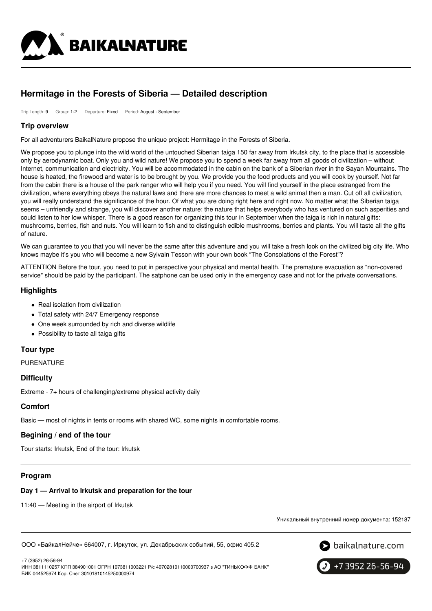

# **Hermitage in the Forests of Siberia — Detailed description**

Trip Length: 9 Group: 1-2 Departure: Fixed Period: August - September

#### **Trip overview**

For all adventurers BaikalNature propose the unique project: Hermitage in the Forests of Siberia.

We propose you to plunge into the wild world of the untouched Siberian taiga 150 far away from Irkutsk city, to the place that is accessible only by aerodynamic boat. Only you and wild nature! We propose you to spend a week far away from all goods of civilization – without Internet, communication and electricity. You will be accommodated in the cabin on the bank of a Siberian river in the Sayan Mountains. The house is heated, the firewood and water is to be brought by you. We provide you the food products and you will cook by yourself. Not far from the cabin there is a house of the park ranger who will help you if you need. You will find yourself in the place estranged from the civilization, where everything obeys the natural laws and there are more chances to meet a wild animal then a man. Cut off all civilization, you will really understand the significance of the hour. Of what you are doing right here and right now. No matter what the Siberian taiga seems – unfriendly and strange, you will discover another nature: the nature that helps everybody who has ventured on such asperities and could listen to her low whisper. There is a good reason for organizing this tour in September when the taiga is rich in natural gifts: mushrooms, berries, fish and nuts. You will learn to fish and to distinguish edible mushrooms, berries and plants. You will taste all the gifts of nature.

We can guarantee to you that you will never be the same after this adventure and you will take a fresh look on the civilized big city life. Who knows maybe it's you who will become a new Sylvain Tesson with your own book "The Consolations of the Forest"?

ATTENTION Before the tour, you need to put in perspective your physical and mental health. The premature evacuation as "non-covered service" should be paid by the participant. The satphone can be used only in the emergency case and not for the private conversations.

### **Highlights**

- Real isolation from civilization
- Total safety with 24/7 Emergency response
- One week surrounded by rich and diverse wildlife
- Possibility to taste all taiga gifts

## **Tour type**

PURENATURE

### **Difficulty**

Extreme - 7+ hours of challenging/extreme physical activity daily

## **Comfort**

Basic — most of nights in tents or rooms with shared WC, some nights in comfortable rooms.

### **Begining / end of the tour**

Tour starts: Irkutsk, End of the tour: Irkutsk

### **Program**

#### **Day 1 — Arrival to Irkutsk and preparation for the tour**

11:40 — Meeting in the airport of Irkutsk

Уникальный внутренний номер документа: 152187

ООО «БайкалНейче» 664007, г. Иркутск, ул. Декабрьских событий, 55, офис 405.2





ИНН 3811110257 КПП 384901001 ОГРН 1073811003221 Р/с 40702810110000700937 в АО "ТИНЬКОФФ БАНК" БИК 044525974 Кор. Счет 30101810145250000974

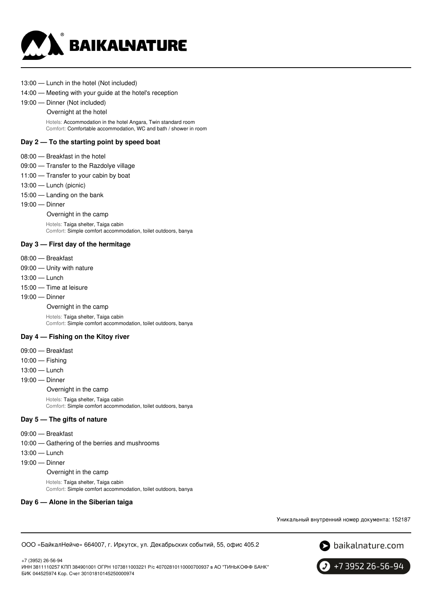

- 13:00 Lunch in the hotel (Not included)
- 14:00 Meeting with your guide at the hotel's reception
- 19:00 Dinner (Not included)
	- Overnight at the hotel

Hotels: Accommodation in the hotel Angara, Twin standard room Comfort: Comfortable accommodation, WC and bath / shower in room

#### **Day 2 — To the starting point by speed boat**

- 08:00 Breakfast in the hotel
- 09:00 Transfer to the Razdolye village
- 11:00 Transfer to your cabin by boat
- 13:00 Lunch (picnic)
- 15:00 Landing on the bank
- 19:00 Dinner

Overnight in the camp

Hotels: Taiga shelter, Taiga cabin Comfort: Simple comfort accommodation, toilet outdoors, banya

#### **Day 3 — First day of the hermitage**

- 08:00 Breakfast
- 09:00 Unity with nature
- 13:00 Lunch
- 15:00 Time at leisure
- 19:00 Dinner

Overnight in the camp

Hotels: Taiga shelter, Taiga cabin Comfort: Simple comfort accommodation, toilet outdoors, banya

## **Day 4 — Fishing on the Kitoy river**

- 09:00 Breakfast
- 10:00 Fishing
- 13:00 Lunch
- 19:00 Dinner

Overnight in the camp

Hotels: Taiga shelter, Taiga cabin Comfort: Simple comfort accommodation, toilet outdoors, banya

#### **Day 5 — The gifts of nature**

- 09:00 Breakfast
- 10:00 Gathering of the berries and mushrooms
- 13:00 Lunch
- 19:00 Dinner

Overnight in the camp

Hotels: Taiga shelter, Taiga cabin Comfort: Simple comfort accommodation, toilet outdoors, banya

#### **Day 6 — Alone in the Siberian taiga**

Уникальный внутренний номер документа: 152187

ООО «БайкалНейче» 664007, г. Иркутск, ул. Декабрьских событий, 55, офис 405.2



+7 (3952) 26-56-94 ИНН 3811110257 КПП 384901001 ОГРН 1073811003221 Р/с 40702810110000700937 в АО "ТИНЬКОФФ БАНК" БИК 044525974 Кор. Счет 30101810145250000974

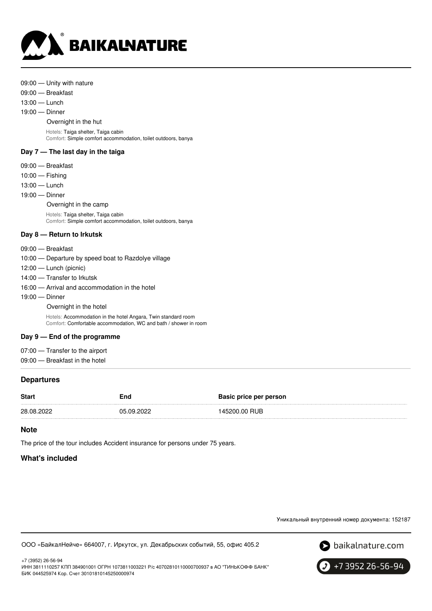

| 09:00 - Unity with nature<br>09:00 - Breakfast<br>$13:00$ - Lunch<br>$19:00$ - Dinner<br>Overnight in the hut<br>Hotels: Taiga shelter, Taiga cabin<br>Comfort: Simple comfort accommodation, toilet outdoors, banya |
|----------------------------------------------------------------------------------------------------------------------------------------------------------------------------------------------------------------------|
| Day $7-$ The last day in the taiga                                                                                                                                                                                   |
| $09:00$ - Breakfast<br>$10:00$ - Fishing<br>$13:00 -$ Lunch<br>$19:00$ – Dinner<br>Overnight in the camp<br>Hotels: Taiga shelter, Taiga cabin<br>Comfort: Simple comfort accommodation, toilet outdoors, banya      |
| Day 8 – Return to Irkutsk                                                                                                                                                                                            |
| 09:00 - Breakfast<br>10:00 — Departure by speed boat to Razdolye village<br>$12:00$ — Lunch (picnic)<br>14:00 - Transfer to Irkutsk<br>16:00 – Arrival and accommodation in the hotel<br>$19:00$ – Dinner            |

Overnight in the hotel Hotels: Accommodation in the hotel Angara, Twin standard room

Comfort: Comfortable accommodation, WC and bath / shower in room

## **Day 9 — End of the programme**

07:00 — Transfer to the airport

09:00 — Breakfast in the hotel

## **Departures**

| 145200.00 RUB<br>28.08.2022<br>05.09.2022 | <b>Start</b> | End | <b>Basic price per person</b> |
|-------------------------------------------|--------------|-----|-------------------------------|
|                                           |              |     |                               |

## **Note**

The price of the tour includes Accident insurance for persons under 75 years.

## **What's included**

Уникальный внутренний номер документа: 152187

ООО «БайкалНейче» 664007, г. Иркутск, ул. Декабрьских событий, 55, офис 405.2





+7 (3952) 26-56-94 ИНН 3811110257 КПП 384901001 ОГРН 1073811003221 Р/с 40702810110000700937 в АО "ТИНЬКОФФ БАНК" БИК 044525974 Кор. Счет 30101810145250000974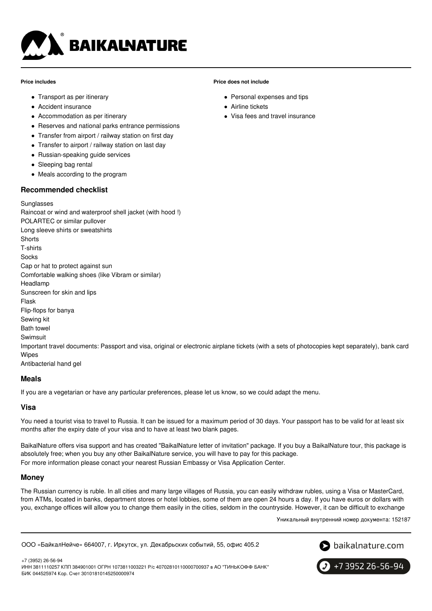

#### **Price includes**

- Transport as per itinerary
- Accident insurance
- Accommodation as per itinerary
- Reserves and national parks entrance permissions
- Transfer from airport / railway station on first day
- Transfer to airport / railway station on last day
- Russian-speaking guide services
- Sleeping bag rental
- Meals according to the program

### **Recommended checklist**

#### Sunglasses

Raincoat or wind and waterproof shell jacket (with hood !) POLARTEC or similar pullover Long sleeve shirts or sweatshirts **Shorts** T-shirts Socks Cap or hat to protect against sun Comfortable walking shoes (like Vibram or similar) Headlamp Sunscreen for skin and lips Flask Flip-flops for banya Sewing kit Bath towel Swimsuit Important travel documents: Passport and visa, original or electronic airplane tickets (with a sets of photocopies kept separately), bank card Wipes Antibacterial hand gel

## **Meals**

If you are a vegetarian or have any particular preferences, please let us know, so we could adapt the menu.

### **Visa**

You need a tourist visa to travel to Russia. It can be issued for a maximum period of 30 days. Your passport has to be valid for at least six months after the expiry date of your visa and to have at least two blank pages.

**Price does not include**

Airline tickets

• Personal expenses and tips

Visa fees and travel insurance

BaikalNature offers visa support and has created "BaikalNature letter of invitation" package. If you buy a BaikalNature tour, this package is absolutely free; when you buy any other BaikalNature service, you will have to pay for this package. For more information please conact your nearest Russian Embassy or Visa Application Center.

### **Money**

The Russian currency is ruble. In all cities and many large villages of Russia, you can easily withdraw rubles, using a Visa or MasterCard, from ATMs, located in banks, department stores or hotel lobbies, some of them are open 24 hours a day. If you have euros or dollars with you, exchange offices will allow you to change them easily in the cities, seldom in the countryside. However, it can be difficult to exchange

Уникальный внутренний номер документа: 152187

ООО «БайкалНейче» 664007, г. Иркутск, ул. Декабрьских событий, 55, офис 405.2



+7 (3952) 26-56-94 ИНН 3811110257 КПП 384901001 ОГРН 1073811003221 Р/с 40702810110000700937 в АО "ТИНЬКОФФ БАНК" БИК 044525974 Кор. Счет 30101810145250000974